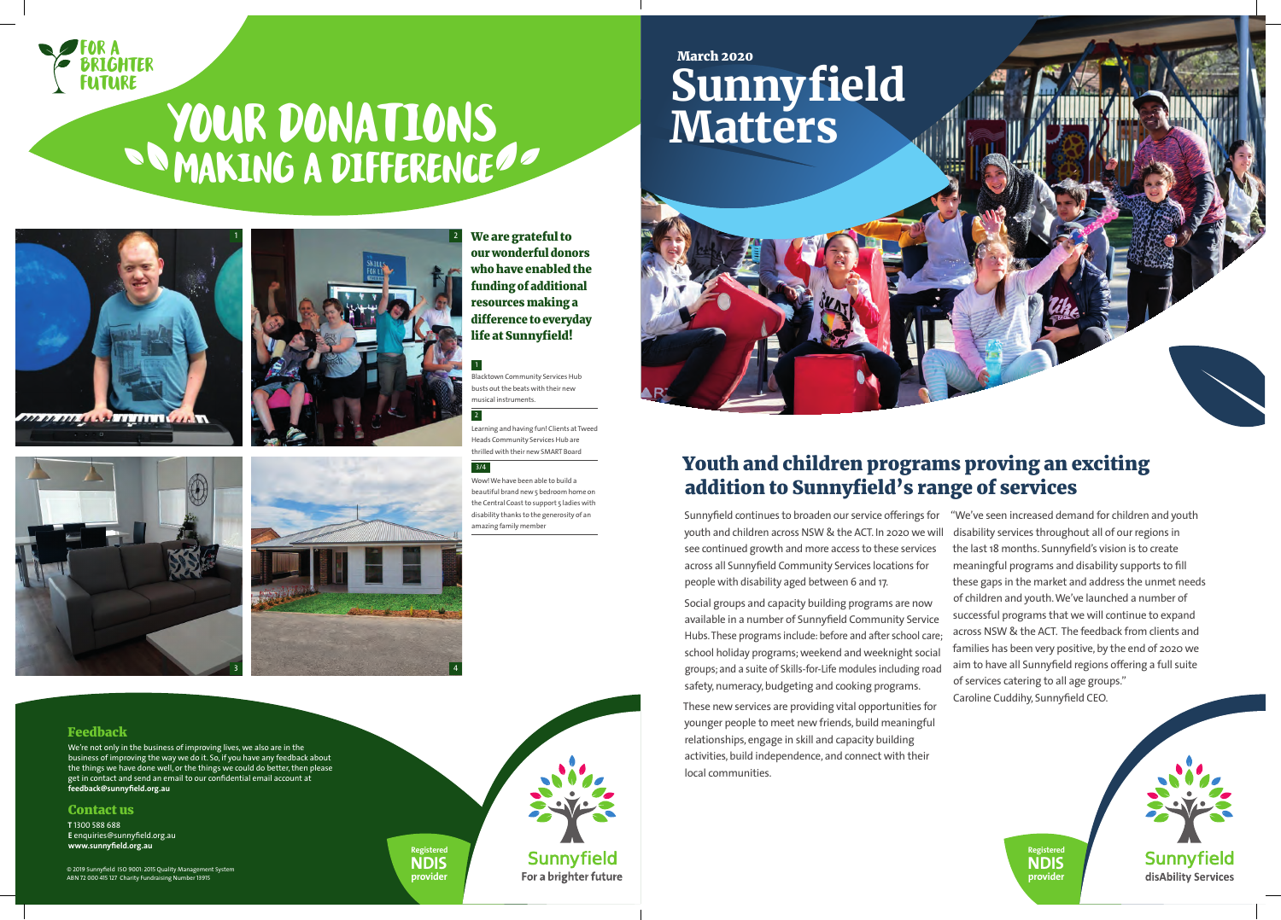

**Registered NDIS provider**





# **YOUR DONATIONS**

We are grateful to our wonderful donors who have enabled the funding of additional resources making a difference to everyday life at Sunnyfield!

## Youth and children programs proving an exciting addition to Sunnyfield's range of services

Sunnyfield continues to broaden our service offerings for youth and children across NSW & the ACT. In 2020 we will see continued growth and more access to these services across all Sunnyfield Community Services locations for people with disability aged between 6 and 17. Social groups and capacity building programs are now available in a number of Sunnyfield Community Service Hubs. These programs include: before and after school care; school holiday programs; weekend and weeknight social groups; and a suite of Skills-for-Life modules including road safety, numeracy, budgeting and cooking programs. "We've seen increased demand for children and youth disability services throughout all of our regions in the last 18 months. Sunnyfield's vision is to create meaningful programs and disability supports to fill these gaps in the market and address the unmet needs of children and youth. We've launched a number of successful programs that we will continue to expand across NSW & the ACT. The feedback from clients and families has been very positive, by the end of 2020 we aim to have all Sunnyfield regions offering a full suite of services catering to all age groups." Caroline Cuddihy, Sunnyfield CEO.

These new services are providing vital opportunities for younger people to meet new friends, build meaningful relationships, engage in skill and capacity building activities, build independence, and connect with their local communities.



#### Feedback

We're not only in the business of improving lives, we also are in the business of improving the way we do it. So, if you have any feedback about the things we have done well, or the things we could do better, then please get in contact and send an email to our confidential email account at **feedback@sunnyfield.org.au**

#### Contact us

**T** 1300 588 688 **E** enquiries@sunnyfield.org.au **www.sunnyfield.org.au**

© 2019 Sunnyfield ISO 9001: 2015 Quality Management System ABN 72 000 415 127 Charity Fundraising Number 13915

Blacktown Community Services Hub busts out the beats with their new musical instruments.

Learning and having fun! Clients at Tweed Heads Community Services Hub are thrilled with their new SMART Board

Wow! We have been able to build a beautiful brand new 5 bedroom home on the Central Coast to support 5 ladies with disability thanks to the generosity of an amazing family member

### 1

2

#### 3/4



3